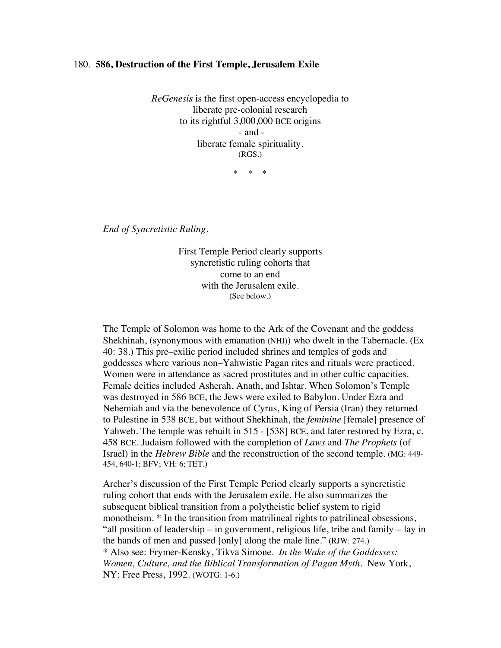## 180. **586, Destruction of the First Temple, Jerusalem Exile**

*ReGenesis* is the first open-access encyclopedia to liberate pre-colonial research to its rightful 3,000,000 BCE origins - and liberate female spirituality. (RGS.)

\* \* \*

*End of Syncretistic Ruling.*

First Temple Period clearly supports syncretistic ruling cohorts that come to an end with the Jerusalem exile. (See below.)

The Temple of Solomon was home to the Ark of the Covenant and the goddess Shekhinah, (synonymous with emanation (NHI)) who dwelt in the Tabernacle. (Ex 40: 38.) This pre–exilic period included shrines and temples of gods and goddesses where various non–Yahwistic Pagan rites and rituals were practiced. Women were in attendance as sacred prostitutes and in other cultic capacities. Female deities included Asherah, Anath, and Ishtar. When Solomon's Temple was destroyed in 586 BCE, the Jews were exiled to Babylon. Under Ezra and Nehemiah and via the benevolence of Cyrus, King of Persia (Iran) they returned to Palestine in 538 BCE, but without Shekhinah, the *feminine* [female] presence of Yahweh. The temple was rebuilt in 515 - [538] BCE, and later restored by Ezra, c. 458 BCE. Judaism followed with the completion of *Laws* and *The Prophets* (of Israel) in the *Hebrew Bible* and the reconstruction of the second temple. (MG: 449- 454, 640-1; BFV; VH: 6; TET.)

Archer's discussion of the First Temple Period clearly supports a syncretistic ruling cohort that ends with the Jerusalem exile. He also summarizes the subsequent biblical transition from a polytheistic belief system to rigid monotheism. \* In the transition from matrilineal rights to patrilineal obsessions, "all position of leadership – in government, religious life, tribe and family – lay in the hands of men and passed [only] along the male line." (RJW: 274.) \* Also see: Frymer-Kensky, Tikva Simone. *In the Wake of the Goddesses: Women, Culture, and the Biblical Transformation of Pagan Myth*. New York, NY: Free Press, 1992. (WOTG: 1-6.)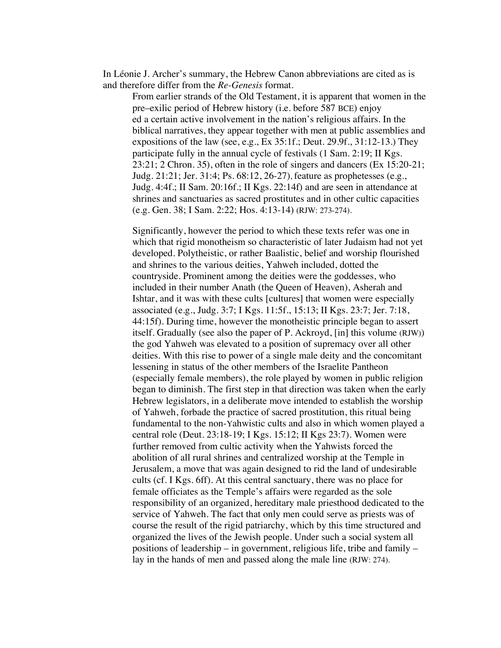In Léonie J. Archer's summary, the Hebrew Canon abbreviations are cited as is and therefore differ from the *Re-Genesis* format.

From earlier strands of the Old Testament, it is apparent that women in the pre–exilic period of Hebrew history (i.e. before 587 BCE) enjoy ed a certain active involvement in the nation's religious affairs. In the biblical narratives, they appear together with men at public assemblies and expositions of the law (see, e.g., Ex 35:1f.; Deut. 29.9f., 31:12-13.) They participate fully in the annual cycle of festivals (1 Sam. 2:19; II Kgs. 23:21; 2 Chron. 35), often in the role of singers and dancers (Ex 15:20-21; Judg. 21:21; Jer. 31:4; Ps. 68:12, 26-27), feature as prophetesses (e.g., Judg. 4:4f.; II Sam. 20:16f.; II Kgs. 22:14f) and are seen in attendance at shrines and sanctuaries as sacred prostitutes and in other cultic capacities (e.g. Gen. 38; I Sam. 2:22; Hos. 4:13-14) (RJW: 273-274).

Significantly, however the period to which these texts refer was one in which that rigid monotheism so characteristic of later Judaism had not yet developed. Polytheistic, or rather Baalistic, belief and worship flourished and shrines to the various deities, Yahweh included, dotted the countryside. Prominent among the deities were the goddesses, who included in their number Anath (the Queen of Heaven), Asherah and Ishtar, and it was with these cults [cultures] that women were especially associated (e.g., Judg. 3:7; I Kgs. 11:5f., 15:13; II Kgs. 23:7; Jer. 7:18, 44:15f). During time, however the monotheistic principle began to assert itself. Gradually (see also the paper of P. Ackroyd, [in] this volume (RJW)) the god Yahweh was elevated to a position of supremacy over all other deities. With this rise to power of a single male deity and the concomitant lessening in status of the other members of the Israelite Pantheon (especially female members), the role played by women in public religion began to diminish. The first step in that direction was taken when the early Hebrew legislators, in a deliberate move intended to establish the worship of Yahweh, forbade the practice of sacred prostitution, this ritual being fundamental to the non-Yahwistic cults and also in which women played a central role (Deut. 23:18-19; I Kgs. 15:12; II Kgs 23:7). Women were further removed from cultic activity when the Yahwists forced the abolition of all rural shrines and centralized worship at the Temple in Jerusalem, a move that was again designed to rid the land of undesirable cults (cf. I Kgs. 6ff). At this central sanctuary, there was no place for female officiates as the Temple's affairs were regarded as the sole responsibility of an organized, hereditary male priesthood dedicated to the service of Yahweh. The fact that only men could serve as priests was of course the result of the rigid patriarchy, which by this time structured and organized the lives of the Jewish people. Under such a social system all positions of leadership – in government, religious life, tribe and family – lay in the hands of men and passed along the male line (RJW: 274).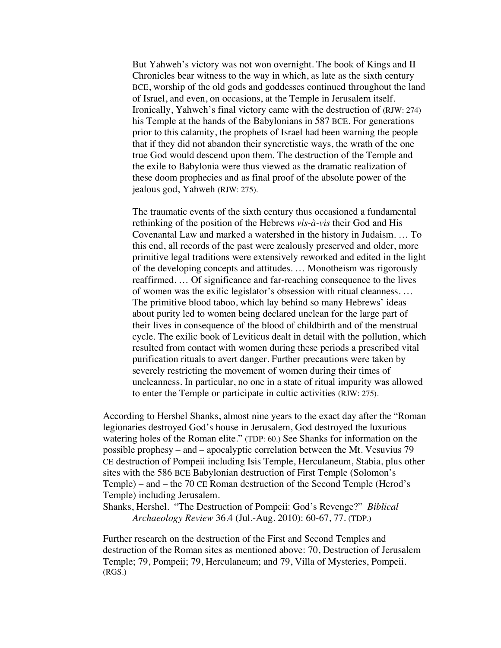But Yahweh's victory was not won overnight. The book of Kings and II Chronicles bear witness to the way in which, as late as the sixth century BCE, worship of the old gods and goddesses continued throughout the land of Israel, and even, on occasions, at the Temple in Jerusalem itself. Ironically, Yahweh's final victory came with the destruction of (RJW: 274) his Temple at the hands of the Babylonians in 587 BCE. For generations prior to this calamity, the prophets of Israel had been warning the people that if they did not abandon their syncretistic ways, the wrath of the one true God would descend upon them. The destruction of the Temple and the exile to Babylonia were thus viewed as the dramatic realization of these doom prophecies and as final proof of the absolute power of the jealous god, Yahweh (RJW: 275).

The traumatic events of the sixth century thus occasioned a fundamental rethinking of the position of the Hebrews *vis-à-vis* their God and His Covenantal Law and marked a watershed in the history in Judaism. … To this end, all records of the past were zealously preserved and older, more primitive legal traditions were extensively reworked and edited in the light of the developing concepts and attitudes. … Monotheism was rigorously reaffirmed. … Of significance and far-reaching consequence to the lives of women was the exilic legislator's obsession with ritual cleanness. … The primitive blood taboo, which lay behind so many Hebrews' ideas about purity led to women being declared unclean for the large part of their lives in consequence of the blood of childbirth and of the menstrual cycle. The exilic book of Leviticus dealt in detail with the pollution, which resulted from contact with women during these periods a prescribed vital purification rituals to avert danger. Further precautions were taken by severely restricting the movement of women during their times of uncleanness. In particular, no one in a state of ritual impurity was allowed to enter the Temple or participate in cultic activities (RJW: 275).

According to Hershel Shanks, almost nine years to the exact day after the "Roman legionaries destroyed God's house in Jerusalem, God destroyed the luxurious watering holes of the Roman elite." (TDP: 60.) See Shanks for information on the possible prophesy – and – apocalyptic correlation between the Mt. Vesuvius 79 CE destruction of Pompeii including Isis Temple, Herculaneum, Stabia, plus other sites with the 586 BCE Babylonian destruction of First Temple (Solomon's Temple) – and – the 70 CE Roman destruction of the Second Temple (Herod's Temple) including Jerusalem.

Shanks, Hershel. "The Destruction of Pompeii: God's Revenge?" *Biblical Archaeology Review* 36.4 (Jul.-Aug. 2010): 60-67, 77. (TDP.)

Further research on the destruction of the First and Second Temples and destruction of the Roman sites as mentioned above: 70, Destruction of Jerusalem Temple; 79, Pompeii; 79, Herculaneum; and 79, Villa of Mysteries, Pompeii. (RGS.)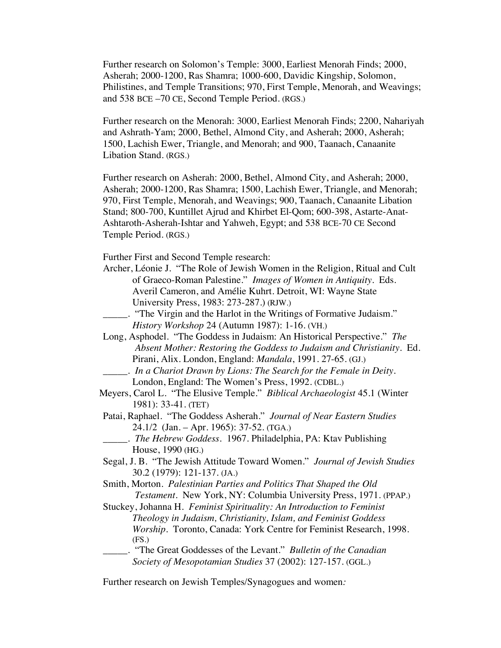Further research on Solomon's Temple: 3000, Earliest Menorah Finds; 2000, Asherah; 2000-1200, Ras Shamra; 1000-600, Davidic Kingship, Solomon, Philistines, and Temple Transitions; 970, First Temple, Menorah, and Weavings; and 538 BCE –70 CE, Second Temple Period. (RGS.)

Further research on the Menorah: 3000, Earliest Menorah Finds; 2200, Nahariyah and Ashrath-Yam; 2000, Bethel, Almond City, and Asherah; 2000, Asherah; 1500, Lachish Ewer, Triangle, and Menorah; and 900, Taanach, Canaanite Libation Stand. (RGS.)

Further research on Asherah: 2000, Bethel, Almond City, and Asherah; 2000, Asherah; 2000-1200, Ras Shamra; 1500, Lachish Ewer, Triangle, and Menorah; 970, First Temple, Menorah, and Weavings; 900, Taanach, Canaanite Libation Stand; 800-700, Kuntillet Ajrud and Khirbet El-Qom; 600-398, Astarte-Anat-Ashtaroth-Asherah-Ishtar and Yahweh, Egypt; and 538 BCE-70 CE Second Temple Period. (RGS.)

Further First and Second Temple research:

- Archer, Léonie J. "The Role of Jewish Women in the Religion, Ritual and Cult of Graeco-Roman Palestine." *Images of Women in Antiquity*. Eds. Averil Cameron, and Amélie Kuhrt. Detroit, WI: Wayne State University Press, 1983: 273-287.) (RJW.)
- \_\_\_\_\_. "The Virgin and the Harlot in the Writings of Formative Judaism." *History Workshop* 24 (Autumn 1987): 1-16. (VH.)
- Long, Asphodel. "The Goddess in Judaism: An Historical Perspective." *The Absent Mother: Restoring the Goddess to Judaism and Christianity.* Ed. Pirani, Alix. London, England: *Mandala*, 1991. 27-65. (GJ.) \_\_\_\_\_. *In a Chariot Drawn by Lions: The Search for the Female in Deity.*
- London, England: The Women's Press, 1992. (CDBL.)
- Meyers, Carol L. "The Elusive Temple." *Biblical Archaeologist* 45.1 (Winter 1981): 33-41. (TET)
- Patai, Raphael. "The Goddess Asherah." *Journal of Near Eastern Studies* 24.1/2 (Jan. – Apr. 1965): 37-52. (TGA.)
	- \_\_\_\_\_. *The Hebrew Goddess.* 1967. Philadelphia, PA: Ktav Publishing House, 1990 (HG.)
- Segal, J. B. "The Jewish Attitude Toward Women." *Journal of Jewish Studies* 30.2 (1979): 121-137. (JA.)
- Smith, Morton. *Palestinian Parties and Politics That Shaped the Old Testament*. New York, NY: Columbia University Press, 1971. (PPAP.)
- Stuckey, Johanna H. *Feminist Spirituality: An Introduction to Feminist Theology in Judaism, Christianity, Islam, and Feminist Goddess Worship.* Toronto, Canada: York Centre for Feminist Research, 1998. (FS.)
- \_\_\_\_\_. "The Great Goddesses of the Levant." *Bulletin of the Canadian Society of Mesopotamian Studies* 37 (2002): 127-157. (GGL.)

Further research on Jewish Temples/Synagogues and women*:*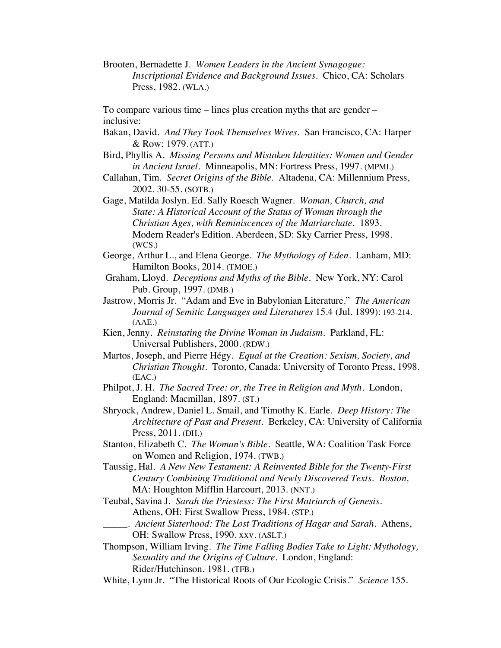Brooten, Bernadette J. *Women Leaders in the Ancient Synagogue: Inscriptional Evidence and Background Issues*. Chico, CA: Scholars Press, 1982. (WLA.)

To compare various time – lines plus creation myths that are gender – inclusive:

- Bakan, David. *And They Took Themselves Wives*. San Francisco, CA: Harper & Row: 1979. (ATT.)
- Bird, Phyllis A. *Missing Persons and Mistaken Identities: Women and Gender in Ancient Israel.* Minneapolis, MN: Fortress Press, 1997. (MPMI.)
- Callahan, Tim. *Secret Origins of the Bible.* Altadena, CA: Millennium Press, 2002. 30-55. (SOTB.)

Gage, Matilda Joslyn. Ed. Sally Roesch Wagner. *Woman, Church, and State: A Historical Account of the Status of Woman through the Christian Ages, with Reminiscences of the Matriarchate*. 1893. Modern Reader's Edition. Aberdeen, SD: Sky Carrier Press, 1998. (WCS.)

George, Arthur L., and Elena George. *The Mythology of Eden*. Lanham, MD: Hamilton Books, 2014. (TMOE.)

Graham, Lloyd. *Deceptions and Myths of the Bible*. New York, NY: Carol Pub. Group, 1997. (DMB.)

Jastrow, Morris Jr. "Adam and Eve in Babylonian Literature." *The American Journal of Semitic Languages and Literatures* 15.4 (Jul. 1899): 193-214. (AAE.)

Kien, Jenny. *Reinstating the Divine Woman in Judaism.* Parkland, FL: Universal Publishers, 2000. (RDW.)

Martos, Joseph, and Pierre Hégy. *Equal at the Creation: Sexism, Society, and Christian Thought*. Toronto, Canada: University of Toronto Press, 1998. (EAC.)

- Philpot, J. H. *The Sacred Tree: or, the Tree in Religion and Myth*. London, England: Macmillan, 1897. (ST.)
- Shryock, Andrew, Daniel L. Smail, and Timothy K. Earle. *Deep History: The Architecture of Past and Present*. Berkeley, CA: University of California Press, 2011. (DH.)
- Stanton, Elizabeth C. *The Woman's Bible*. Seattle, WA: Coalition Task Force on Women and Religion, 1974. (TWB.)

Taussig, Hal. *A New New Testament: A Reinvented Bible for the Twenty-First Century Combining Traditional and Newly Discovered Texts. Boston,*  MA: Houghton Mifflin Harcourt, 2013. (NNT.)

Teubal, Savina J. *Sarah the Priestess: The First Matriarch of Genesis*. Athens, OH: First Swallow Press, 1984. (STP.)

\_\_\_\_\_. *Ancient Sisterhood: The Lost Traditions of Hagar and Sarah*. Athens, OH: Swallow Press, 1990. xxv. (ASLT.)

Thompson, William Irving. *The Time Falling Bodies Take to Light: Mythology, Sexuality and the Origins of Culture.* London, England: Rider/Hutchinson, 1981. (TFB.)

White, Lynn Jr. "The Historical Roots of Our Ecologic Crisis." *Science* 155.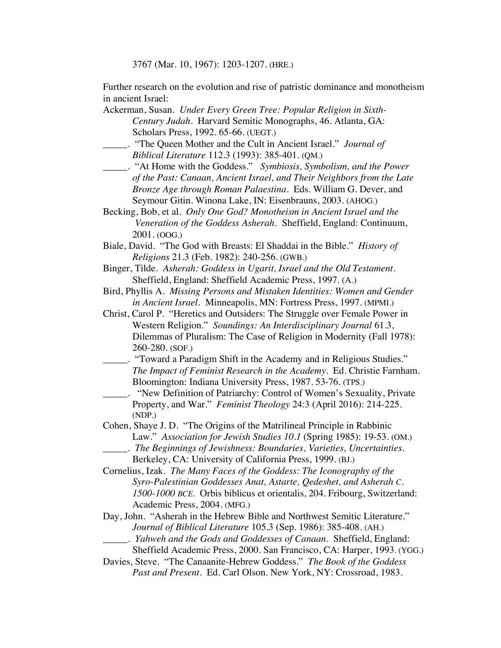3767 (Mar. 10, 1967): 1203-1207. (HRE.)

Further research on the evolution and rise of patristic dominance and monotheism in ancient Israel:

Ackerman, Susan. *Under Every Green Tree: Popular Religion in Sixth-Century Judah*. Harvard Semitic Monographs, 46. Atlanta, GA: Scholars Press, 1992. 65-66. (UEGT.)

\_\_\_\_\_. "The Queen Mother and the Cult in Ancient Israel." *Journal of Biblical Literature* 112.3 (1993): 385-401. (QM.)

- \_\_\_\_\_. "At Home with the Goddess." *Symbiosis, Symbolism, and the Power of the Past: Canaan, Ancient Israel, and Their Neighbors from the Late Bronze Age through Roman Palaestina.* Eds. William G. Dever, and Seymour Gitin. Winona Lake, IN: Eisenbrauns, 2003. (AHOG.)
- Becking, Bob, et al. *Only One God? Monotheism in Ancient Israel and the Veneration of the Goddess Asherah.* Sheffield, England: Continuum, 2001. (OOG.)
- Biale, David. "The God with Breasts: El Shaddai in the Bible." *History of Religions* 21.3 (Feb. 1982): 240-256. (GWB.)
- Binger, Tilde. *Asherah: Goddess in Ugarit, Israel and the Old Testament.* Sheffield, England: Sheffield Academic Press, 1997. (A.)
- Bird, Phyllis A. *Missing Persons and Mistaken Identities: Women and Gender in Ancient Israel.* Minneapolis, MN: Fortress Press, 1997. (MPMI.)
- Christ, Carol P. "Heretics and Outsiders: The Struggle over Female Power in Western Religion." *Soundings: An Interdisciplinary Journal* 61.3, Dilemmas of Pluralism: The Case of Religion in Modernity (Fall 1978): 260-280. (SOF.)
	- \_\_\_\_\_. "Toward a Paradigm Shift in the Academy and in Religious Studies." *The Impact of Feminist Research in the Academy*. Ed. Christie Farnham. Bloomington: Indiana University Press, 1987. 53-76. (TPS.)
- \_\_\_\_\_. "New Definition of Patriarchy: Control of Women's Sexuality, Private Property, and War." *Feminist Theology* 24:3 (April 2016): 214-225. (NDP.)
- Cohen, Shaye J. D. "The Origins of the Matrilineal Principle in Rabbinic Law." *Association for Jewish Studies 10.1* (Spring 1985): 19-53. (OM.)
	- \_\_\_\_\_. *The Beginnings of Jewishness: Boundaries, Varieties, Uncertainties.*
	- Berkeley, CA: University of California Press, 1999. (BJ.)

Cornelius, Izak. *The Many Faces of the Goddess: The Iconography of the Syro-Palestinian Goddesses Anat, Astarte, Qedeshet, and Asherah C. 1500-1000 BCE.* Orbis biblicus et orientalis, 204. Fribourg, Switzerland: Academic Press, 2004. (MFG.)

Day, John. "Asherah in the Hebrew Bible and Northwest Semitic Literature." *Journal of Biblical Literature* 105.3 (Sep. 1986): 385-408. (AH.)

- \_\_\_\_\_. *Yahweh and the Gods and Goddesses of Canaan*. Sheffield, England:
	- Sheffield Academic Press, 2000. San Francisco, CA: Harper, 1993. (YGG.)
- Davies, Steve. "The Canaanite-Hebrew Goddess." *The Book of the Goddess Past and Present*. Ed. Carl Olson. New York, NY: Crossroad, 1983.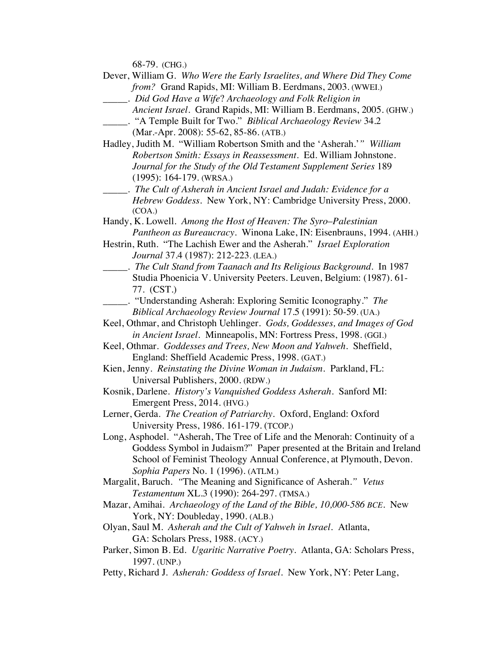68-79. (CHG.)

Dever, William G. *Who Were the Early Israelites, and Where Did They Come from?* Grand Rapids, MI: William B. Eerdmans, 2003. (WWEI.)

- *Ancient Israel.* Grand Rapids, MI: William B. Eerdmans, 2005. (GHW.)
- \_\_\_\_\_. "A Temple Built for Two." *Biblical Archaeology Review* 34.2 (Mar.-Apr. 2008): 55-62, 85-86. (ATB.)
- Hadley, Judith M. "William Robertson Smith and the 'Asherah.'*" William Robertson Smith: Essays in Reassessment*. Ed. William Johnstone. *Journal for the Study of the Old Testament Supplement Series* 189 (1995): 164-179. (WRSA.)
- \_\_\_\_\_. *The Cult of Asherah in Ancient Israel and Judah: Evidence for a Hebrew Goddess*. New York, NY: Cambridge University Press, 2000. (COA.)
- Handy, K. Lowell. *Among the Host of Heaven: The Syro*–*Palestinian Pantheon as Bureaucracy*. Winona Lake, IN: Eisenbrauns, 1994. (AHH.)
- Hestrin, Ruth. "The Lachish Ewer and the Asherah." *Israel Exploration Journal* 37.4 (1987): 212-223. (LEA.)
- \_\_\_\_\_. *The Cult Stand from Taanach and Its Religious Background*. In 1987 Studia Phoenicia V. University Peeters. Leuven, Belgium: (1987). 61- 77. (CST.)
- \_\_\_\_\_. "Understanding Asherah: Exploring Semitic Iconography." *The Biblical Archaeology Review Journal* 17.5 (1991): 50-59. (UA.)
- Keel, Othmar, and Christoph Uehlinger. *Gods, Goddesses, and Images of God in Ancient Israel.* Minneapolis, MN: Fortress Press, 1998. (GGI.)
- Keel, Othmar. *Goddesses and Trees, New Moon and Yahweh*. Sheffield, England: Sheffield Academic Press, 1998. (GAT.)
- Kien, Jenny. *Reinstating the Divine Woman in Judaism.* Parkland, FL: Universal Publishers, 2000. (RDW.)
- Kosnik, Darlene. *History's Vanquished Goddess Asherah*. Sanford MI: Emergent Press, 2014. (HVG.)
- Lerner, Gerda. *The Creation of Patriarchy.* Oxford, England: Oxford University Press, 1986. 161-179. (TCOP.)
- Long, Asphodel. "Asherah, The Tree of Life and the Menorah: Continuity of a Goddess Symbol in Judaism?" Paper presented at the Britain and Ireland School of Feminist Theology Annual Conference, at Plymouth, Devon. *Sophia Papers* No. 1 (1996). (ATLM.)
- Margalit, Baruch. *"*The Meaning and Significance of Asherah.*" Vetus Testamentum* XL.3 (1990): 264-297. (TMSA.)
- Mazar, Amihai. *Archaeology of the Land of the Bible, 10,000-586 BCE.* New York, NY: Doubleday, 1990. (ALB.)
- Olyan, Saul M. *Asherah and the Cult of Yahweh in Israel.* Atlanta, GA: Scholars Press, 1988. (ACY.)
- Parker, Simon B. Ed. *Ugaritic Narrative Poetry.* Atlanta, GA: Scholars Press, 1997. (UNP.)
- Petty, Richard J*. Asherah: Goddess of Israel*. New York, NY: Peter Lang,

\_\_\_\_\_. *Did God Have a Wife*? *Archaeology and Folk Religion in*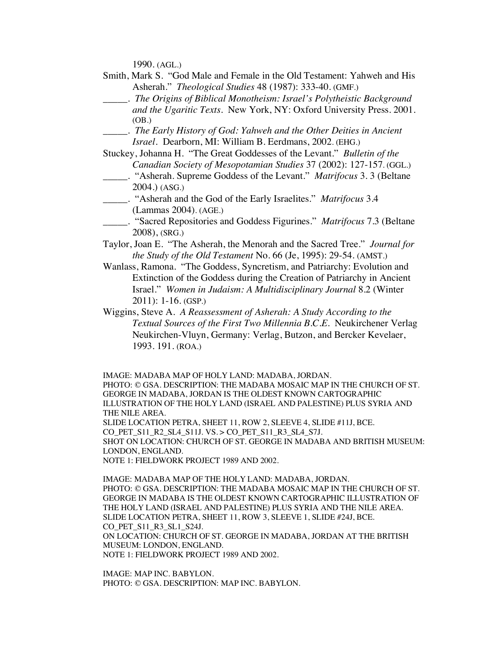1990. (AGL.)

- Smith, Mark S. "God Male and Female in the Old Testament: Yahweh and His Asherah." *Theological Studies* 48 (1987): 333-40. (GMF.)
- \_\_\_\_\_. *The Origins of Biblical Monotheism: Israel's Polytheistic Background and the Ugaritic Texts*. New York, NY: Oxford University Press. 2001. (OB.)
- \_\_\_\_\_. *The Early History of God: Yahweh and the Other Deities in Ancient Israel.* Dearborn, MI: William B. Eerdmans, 2002. (EHG.)

Stuckey, Johanna H. "The Great Goddesses of the Levant." *Bulletin of the Canadian Society of Mesopotamian Studies* 37 (2002): 127-157. (GGL.)

- \_\_\_\_\_. "Asherah. Supreme Goddess of the Levant." *Matrifocus* 3. 3 (Beltane 2004.) (ASG.)
- \_\_\_\_\_. "Asherah and the God of the Early Israelites." *Matrifocus* 3.4 (Lammas 2004). (AGE.)
- \_\_\_\_\_. "Sacred Repositories and Goddess Figurines." *Matrifocus* 7.3 (Beltane 2008), (SRG.)
- Taylor, Joan E. "The Asherah, the Menorah and the Sacred Tree." *Journal for the Study of the Old Testament* No. 66 (Je, 1995): 29-54. (AMST.)
- Wanlass, Ramona. "The Goddess, Syncretism, and Patriarchy: Evolution and Extinction of the Goddess during the Creation of Patriarchy in Ancient Israel." *Women in Judaism: A Multidisciplinary Journal* 8.2 (Winter 2011): 1-16. (GSP.)
- Wiggins, Steve A. *A Reassessment of Asherah: A Study According to the Textual Sources of the First Two Millennia B.C.E.* Neukirchener Verlag Neukirchen-Vluyn, Germany: Verlag, Butzon, and Bercker Kevelaer, 1993. 191. (ROA.)

IMAGE: MADABA MAP OF HOLY LAND: MADABA, JORDAN.

PHOTO: © GSA. DESCRIPTION: THE MADABA MOSAIC MAP IN THE CHURCH OF ST. GEORGE IN MADABA, JORDAN IS THE OLDEST KNOWN CARTOGRAPHIC ILLUSTRATION OF THE HOLY LAND (ISRAEL AND PALESTINE) PLUS SYRIA AND THE NILE AREA. SLIDE LOCATION PETRA, SHEET 11, ROW 2, SLEEVE 4, SLIDE #11J, BCE.

CO\_PET\_S11\_R2\_SL4\_S11J. VS. > CO\_PET\_S11\_R3\_SL4\_S7J.

SHOT ON LOCATION: CHURCH OF ST. GEORGE IN MADABA AND BRITISH MUSEUM: LONDON, ENGLAND.

NOTE 1: FIELDWORK PROJECT 1989 AND 2002.

IMAGE: MADABA MAP OF THE HOLY LAND: MADABA, JORDAN. PHOTO: © GSA. DESCRIPTION: THE MADABA MOSAIC MAP IN THE CHURCH OF ST. GEORGE IN MADABA IS THE OLDEST KNOWN CARTOGRAPHIC ILLUSTRATION OF THE HOLY LAND (ISRAEL AND PALESTINE) PLUS SYRIA AND THE NILE AREA. SLIDE LOCATION PETRA, SHEET 11, ROW 3, SLEEVE 1, SLIDE #24J, BCE. CO\_PET\_S11\_R3\_SL1\_S24J. ON LOCATION: CHURCH OF ST. GEORGE IN MADABA, JORDAN AT THE BRITISH MUSEUM: LONDON, ENGLAND.

NOTE 1: FIELDWORK PROJECT 1989 AND 2002.

IMAGE: MAP INC. BABYLON. PHOTO: © GSA. DESCRIPTION: MAP INC. BABYLON.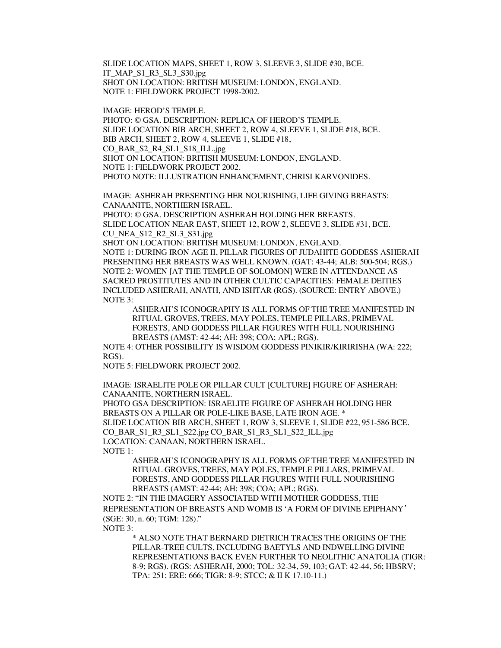SLIDE LOCATION MAPS, SHEET 1, ROW 3, SLEEVE 3, SLIDE #30, BCE. IT\_MAP\_S1\_R3\_SL3\_S30.jpg SHOT ON LOCATION: BRITISH MUSEUM: LONDON, ENGLAND. NOTE 1: FIELDWORK PROJECT 1998-2002.

IMAGE: HEROD'S TEMPLE.

PHOTO: © GSA. DESCRIPTION: REPLICA OF HEROD'S TEMPLE. SLIDE LOCATION BIB ARCH, SHEET 2, ROW 4, SLEEVE 1, SLIDE #18, BCE. BIB ARCH, SHEET 2, ROW 4, SLEEVE 1, SLIDE #18, CO\_BAR\_S2\_R4\_SL1\_S18\_ILL.jpg SHOT ON LOCATION: BRITISH MUSEUM: LONDON, ENGLAND. NOTE 1: FIELDWORK PROJECT 2002. PHOTO NOTE: ILLUSTRATION ENHANCEMENT, CHRISI KARVONIDES.

IMAGE: ASHERAH PRESENTING HER NOURISHING, LIFE GIVING BREASTS: CANAANITE, NORTHERN ISRAEL.

PHOTO: © GSA. DESCRIPTION ASHERAH HOLDING HER BREASTS. SLIDE LOCATION NEAR EAST, SHEET 12, ROW 2, SLEEVE 3, SLIDE #31, BCE. CU\_NEA\_S12\_R2\_SL3\_S31.jpg

SHOT ON LOCATION: BRITISH MUSEUM: LONDON, ENGLAND. NOTE 1: DURING IRON AGE II, PILLAR FIGURES OF JUDAHITE GODDESS ASHERAH PRESENTING HER BREASTS WAS WELL KNOWN. (GAT: 43-44; ALB: 500-504; RGS.) NOTE 2: WOMEN [AT THE TEMPLE OF SOLOMON] WERE IN ATTENDANCE AS SACRED PROSTITUTES AND IN OTHER CULTIC CAPACITIES: FEMALE DEITIES INCLUDED ASHERAH, ANATH, AND ISHTAR (RGS). (SOURCE: ENTRY ABOVE.) NOTE 3:

ASHERAH'S ICONOGRAPHY IS ALL FORMS OF THE TREE MANIFESTED IN RITUAL GROVES, TREES, MAY POLES, TEMPLE PILLARS, PRIMEVAL FORESTS, AND GODDESS PILLAR FIGURES WITH FULL NOURISHING BREASTS (AMST: 42-44; AH: 398; COA; APL; RGS).

NOTE 4: OTHER POSSIBILITY IS WISDOM GODDESS PINIKIR/KIRIRISHA (WA: 222; RGS).

NOTE 5: FIELDWORK PROJECT 2002.

IMAGE: ISRAELITE POLE OR PILLAR CULT [CULTURE] FIGURE OF ASHERAH: CANAANITE, NORTHERN ISRAEL.

PHOTO GSA DESCRIPTION: ISRAELITE FIGURE OF ASHERAH HOLDING HER BREASTS ON A PILLAR OR POLE-LIKE BASE, LATE IRON AGE. \* SLIDE LOCATION BIB ARCH, SHEET 1, ROW 3, SLEEVE 1, SLIDE #22, 951-586 BCE. CO\_BAR\_S1\_R3\_SL1\_S22.jpg CO\_BAR\_S1\_R3\_SL1\_S22\_ILL.jpg LOCATION: CANAAN, NORTHERN ISRAEL. NOTE 1:

ASHERAH'S ICONOGRAPHY IS ALL FORMS OF THE TREE MANIFESTED IN RITUAL GROVES, TREES, MAY POLES, TEMPLE PILLARS, PRIMEVAL FORESTS, AND GODDESS PILLAR FIGURES WITH FULL NOURISHING BREASTS (AMST: 42-44; AH: 398; COA; APL; RGS).

NOTE 2: "IN THE IMAGERY ASSOCIATED WITH MOTHER GODDESS, THE REPRESENTATION OF BREASTS AND WOMB IS 'A FORM OF DIVINE EPIPHANY*'*  (SGE: 30, n. 60; TGM: 128)."

NOTE 3:

\* ALSO NOTE THAT BERNARD DIETRICH TRACES THE ORIGINS OF THE PILLAR-TREE CULTS, INCLUDING BAETYLS AND INDWELLING DIVINE REPRESENTATIONS BACK EVEN FURTHER TO NEOLITHIC ANATOLIA (TIGR: 8-9; RGS). (RGS: ASHERAH, 2000; TOL: 32-34, 59, 103; GAT: 42-44, 56; HBSRV; TPA: 251; ERE: 666; TIGR: 8-9; STCC; & II K 17.10-11.)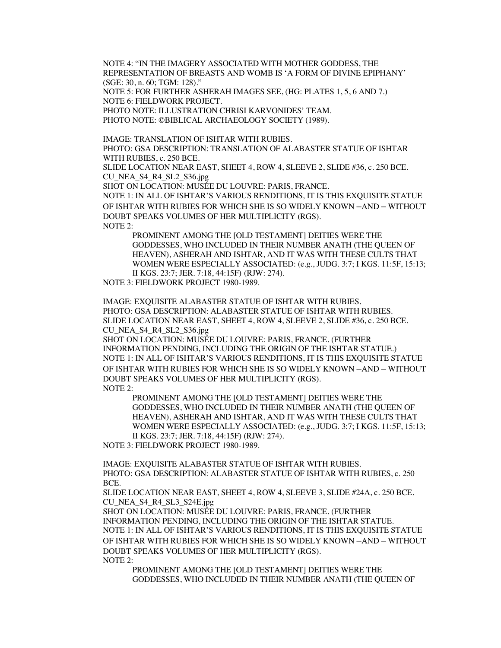NOTE 4: "IN THE IMAGERY ASSOCIATED WITH MOTHER GODDESS, THE REPRESENTATION OF BREASTS AND WOMB IS 'A FORM OF DIVINE EPIPHANY' (SGE: 30, n. 60; TGM: 128)."

NOTE 5: FOR FURTHER ASHERAH IMAGES SEE, (HG: PLATES 1, 5, 6 AND 7.) NOTE 6: FIELDWORK PROJECT.

PHOTO NOTE: ILLUSTRATION CHRISI KARVONIDES' TEAM.

PHOTO NOTE: ©BIBLICAL ARCHAEOLOGY SOCIETY (1989).

IMAGE: TRANSLATION OF ISHTAR WITH RUBIES.

PHOTO: GSA DESCRIPTION: TRANSLATION OF ALABASTER STATUE OF ISHTAR WITH RUBIES, c. 250 BCE.

SLIDE LOCATION NEAR EAST, SHEET 4, ROW 4, SLEEVE 2, SLIDE #36, c. 250 BCE. CU\_NEA\_S4\_R4\_SL2\_S36.jpg

SHOT ON LOCATION: MUSÉE DU LOUVRE: PARIS, FRANCE.

NOTE 1: IN ALL OF ISHTAR'S VARIOUS RENDITIONS, IT IS THIS EXQUISITE STATUE OF ISHTAR WITH RUBIES FOR WHICH SHE IS SO WIDELY KNOWN –AND – WITHOUT DOUBT SPEAKS VOLUMES OF HER MULTIPLICITY (RGS). NOTE 2:

PROMINENT AMONG THE [OLD TESTAMENT] DEITIES WERE THE GODDESSES, WHO INCLUDED IN THEIR NUMBER ANATH (THE QUEEN OF HEAVEN), ASHERAH AND ISHTAR, AND IT WAS WITH THESE CULTS THAT WOMEN WERE ESPECIALLY ASSOCIATED: (e.g., JUDG. 3:7; I KGS. 11:5F, 15:13; II KGS. 23:7; JER. 7:18, 44:15F) (RJW: 274).

NOTE 3: FIELDWORK PROJECT 1980-1989.

IMAGE: EXQUISITE ALABASTER STATUE OF ISHTAR WITH RUBIES. PHOTO: GSA DESCRIPTION: ALABASTER STATUE OF ISHTAR WITH RUBIES. SLIDE LOCATION NEAR EAST, SHEET 4, ROW 4, SLEEVE 2, SLIDE #36, c. 250 BCE. CU\_NEA\_S4\_R4\_SL2\_S36.jpg

SHOT ON LOCATION: MUSÉE DU LOUVRE: PARIS, FRANCE. (FURTHER INFORMATION PENDING, INCLUDING THE ORIGIN OF THE ISHTAR STATUE.) NOTE 1: IN ALL OF ISHTAR'S VARIOUS RENDITIONS, IT IS THIS EXQUISITE STATUE OF ISHTAR WITH RUBIES FOR WHICH SHE IS SO WIDELY KNOWN –AND – WITHOUT DOUBT SPEAKS VOLUMES OF HER MULTIPLICITY (RGS). NOTE 2:

PROMINENT AMONG THE [OLD TESTAMENT] DEITIES WERE THE GODDESSES, WHO INCLUDED IN THEIR NUMBER ANATH (THE QUEEN OF HEAVEN), ASHERAH AND ISHTAR, AND IT WAS WITH THESE CULTS THAT WOMEN WERE ESPECIALLY ASSOCIATED: (e.g., JUDG. 3:7; I KGS. 11:5F, 15:13; II KGS. 23:7; JER. 7:18, 44:15F) (RJW: 274).

NOTE 3: FIELDWORK PROJECT 1980-1989.

IMAGE: EXQUISITE ALABASTER STATUE OF ISHTAR WITH RUBIES. PHOTO: GSA DESCRIPTION: ALABASTER STATUE OF ISHTAR WITH RUBIES, c. 250 BCE.

SLIDE LOCATION NEAR EAST, SHEET 4, ROW 4, SLEEVE 3, SLIDE #24A, c. 250 BCE. CU\_NEA\_S4\_R4\_SL3\_S24E.jpg

SHOT ON LOCATION: MUSÉE DU LOUVRE: PARIS, FRANCE. (FURTHER INFORMATION PENDING, INCLUDING THE ORIGIN OF THE ISHTAR STATUE. NOTE 1: IN ALL OF ISHTAR'S VARIOUS RENDITIONS, IT IS THIS EXQUISITE STATUE OF ISHTAR WITH RUBIES FOR WHICH SHE IS SO WIDELY KNOWN –AND – WITHOUT DOUBT SPEAKS VOLUMES OF HER MULTIPLICITY (RGS). NOTE 2:

PROMINENT AMONG THE [OLD TESTAMENT] DEITIES WERE THE GODDESSES, WHO INCLUDED IN THEIR NUMBER ANATH (THE QUEEN OF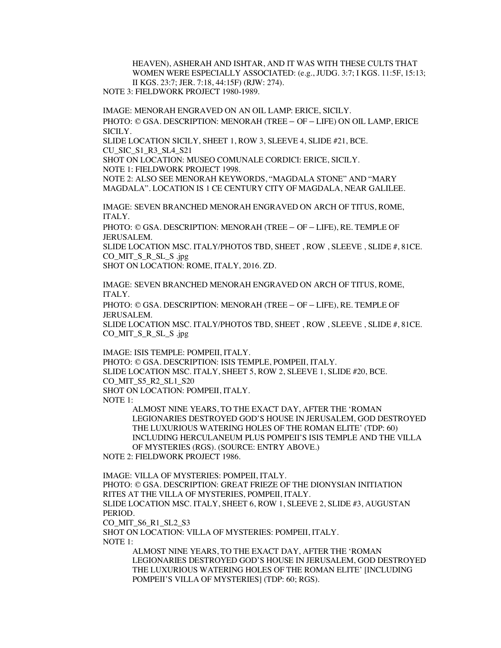HEAVEN), ASHERAH AND ISHTAR, AND IT WAS WITH THESE CULTS THAT WOMEN WERE ESPECIALLY ASSOCIATED: (e.g., JUDG. 3:7; I KGS. 11:5F, 15:13; II KGS. 23:7; JER. 7:18, 44:15F) (RJW: 274). NOTE 3: FIELDWORK PROJECT 1980-1989.

IMAGE: MENORAH ENGRAVED ON AN OIL LAMP: ERICE, SICILY. PHOTO: © GSA. DESCRIPTION: MENORAH (TREE – OF – LIFE) ON OIL LAMP, ERICE

SICILY.

SLIDE LOCATION SICILY, SHEET 1, ROW 3, SLEEVE 4, SLIDE #21, BCE. CU\_SIC\_S1\_R3\_SL4\_S21

SHOT ON LOCATION: MUSEO COMUNALE CORDICI: ERICE, SICILY.

NOTE 1: FIELDWORK PROJECT 1998.

NOTE 2: ALSO SEE MENORAH KEYWORDS, "MAGDALA STONE" AND "MARY MAGDALA". LOCATION IS 1 CE CENTURY CITY OF MAGDALA, NEAR GALILEE.

IMAGE: SEVEN BRANCHED MENORAH ENGRAVED ON ARCH OF TITUS, ROME, ITALY.

PHOTO: © GSA. DESCRIPTION: MENORAH (TREE – OF – LIFE), RE. TEMPLE OF JERUSALEM.

SLIDE LOCATION MSC. ITALY/PHOTOS TBD, SHEET , ROW , SLEEVE , SLIDE #, 81CE. CO\_MIT\_S\_R\_SL\_S .jpg

SHOT ON LOCATION: ROME, ITALY, 2016. ZD.

IMAGE: SEVEN BRANCHED MENORAH ENGRAVED ON ARCH OF TITUS, ROME, ITALY.

PHOTO: © GSA. DESCRIPTION: MENORAH (TREE – OF – LIFE), RE. TEMPLE OF JERUSALEM.

SLIDE LOCATION MSC. ITALY/PHOTOS TBD, SHEET , ROW , SLEEVE , SLIDE #, 81CE. CO\_MIT\_S\_R\_SL\_S .jpg

IMAGE: ISIS TEMPLE: POMPEII, ITALY. PHOTO: © GSA. DESCRIPTION: ISIS TEMPLE, POMPEII, ITALY. SLIDE LOCATION MSC. ITALY, SHEET 5, ROW 2, SLEEVE 1, SLIDE #20, BCE. CO\_MIT\_S5\_R2\_SL1\_S20 SHOT ON LOCATION: POMPEII, ITALY. NOTE 1:

ALMOST NINE YEARS, TO THE EXACT DAY, AFTER THE 'ROMAN LEGIONARIES DESTROYED GOD'S HOUSE IN JERUSALEM, GOD DESTROYED THE LUXURIOUS WATERING HOLES OF THE ROMAN ELITE' (TDP: 60) INCLUDING HERCULANEUM PLUS POMPEII'S ISIS TEMPLE AND THE VILLA OF MYSTERIES (RGS). (SOURCE: ENTRY ABOVE.)

NOTE 2: FIELDWORK PROJECT 1986.

IMAGE: VILLA OF MYSTERIES: POMPEII, ITALY. PHOTO: © GSA. DESCRIPTION: GREAT FRIEZE OF THE DIONYSIAN INITIATION RITES AT THE VILLA OF MYSTERIES, POMPEII, ITALY. SLIDE LOCATION MSC. ITALY, SHEET 6, ROW 1, SLEEVE 2, SLIDE #3, AUGUSTAN PERIOD. CO MIT S6 R1 SL2 S3 SHOT ON LOCATION: VILLA OF MYSTERIES: POMPEII, ITALY. NOTE 1: ALMOST NINE YEARS, TO THE EXACT DAY, AFTER THE 'ROMAN

LEGIONARIES DESTROYED GOD'S HOUSE IN JERUSALEM, GOD DESTROYED THE LUXURIOUS WATERING HOLES OF THE ROMAN ELITE' [INCLUDING POMPEII'S VILLA OF MYSTERIES] (TDP: 60; RGS).